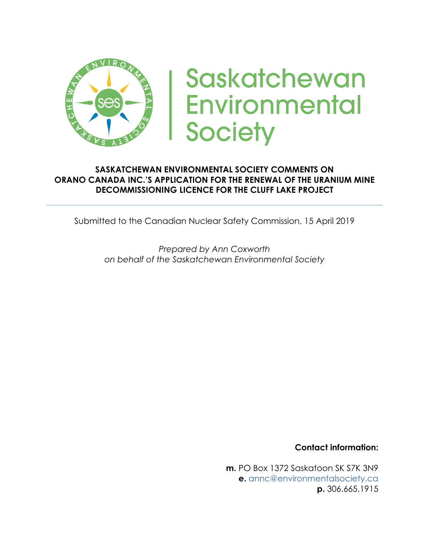

# Saskatchewan **Environmental Society**

#### **SASKATCHEWAN ENVIRONMENTAL SOCIETY COMMENTS ON ORANO CANADA INC.'S APPLICATION FOR THE RENEWAL OF THE URANIUM MINE DECOMMISSIONING LICENCE FOR THE CLUFF LAKE PROJECT**

Submitted to the Canadian Nuclear Safety Commission, 15 April 2019

*Prepared by Ann Coxworth on behalf of the Saskatchewan Environmental Society*

**Contact information:**

**m.** PO Box 1372 Saskatoon SK S7K 3N9 **e.** annc@environmentalsociety.ca **p.** 306.665.1915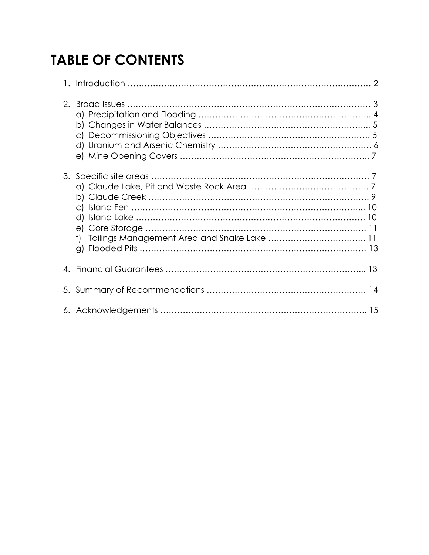# **TABLE OF CONTENTS**

| 2. |  |
|----|--|
| 3. |  |
|    |  |
| 5. |  |
|    |  |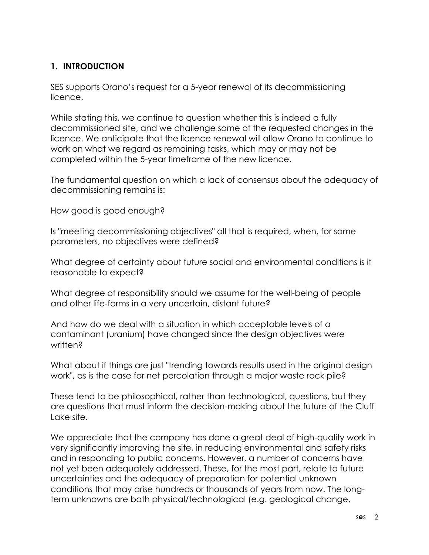#### **1. INTRODUCTION**

SES supports Orano's request for a 5-year renewal of its decommissioning licence.

While stating this, we continue to question whether this is indeed a fully decommissioned site, and we challenge some of the requested changes in the licence. We anticipate that the licence renewal will allow Orano to continue to work on what we regard as remaining tasks, which may or may not be completed within the 5-year timeframe of the new licence.

The fundamental question on which a lack of consensus about the adequacy of decommissioning remains is:

How good is good enough?

Is "meeting decommissioning objectives" all that is required, when, for some parameters, no objectives were defined?

What degree of certainty about future social and environmental conditions is it reasonable to expect?

What degree of responsibility should we assume for the well-being of people and other life-forms in a very uncertain, distant future?

And how do we deal with a situation in which acceptable levels of a contaminant (uranium) have changed since the design objectives were written?

What about if things are just "trending towards results used in the original design work", as is the case for net percolation through a major waste rock pile?

These tend to be philosophical, rather than technological, questions, but they are questions that must inform the decision-making about the future of the Cluff Lake site.

We appreciate that the company has done a great deal of high-quality work in very significantly improving the site, in reducing environmental and safety risks and in responding to public concerns. However, a number of concerns have not yet been adequately addressed. These, for the most part, relate to future uncertainties and the adequacy of preparation for potential unknown conditions that may arise hundreds or thousands of years from now. The longterm unknowns are both physical/technological (e.g. geological change,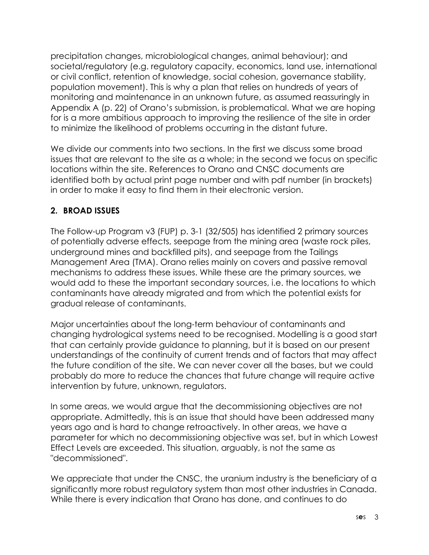precipitation changes, microbiological changes, animal behaviour); and societal/regulatory (e.g. regulatory capacity, economics, land use, international or civil conflict, retention of knowledge, social cohesion, governance stability, population movement). This is why a plan that relies on hundreds of years of monitoring and maintenance in an unknown future, as assumed reassuringly in Appendix A (p. 22) of Orano's submission, is problematical. What we are hoping for is a more ambitious approach to improving the resilience of the site in order to minimize the likelihood of problems occurring in the distant future.

We divide our comments into two sections. In the first we discuss some broad issues that are relevant to the site as a whole; in the second we focus on specific locations within the site. References to Orano and CNSC documents are identified both by actual print page number and with pdf number (in brackets) in order to make it easy to find them in their electronic version.

#### **2. BROAD ISSUES**

The Follow-up Program v3 (FUP) p. 3-1 (32/505) has identified 2 primary sources of potentially adverse effects, seepage from the mining area (waste rock piles, underground mines and backfilled pits), and seepage from the Tailings Management Area (TMA). Orano relies mainly on covers and passive removal mechanisms to address these issues. While these are the primary sources, we would add to these the important secondary sources, i.e. the locations to which contaminants have already migrated and from which the potential exists for gradual release of contaminants.

Major uncertainties about the long-term behaviour of contaminants and changing hydrological systems need to be recognised. Modelling is a good start that can certainly provide guidance to planning, but it is based on our present understandings of the continuity of current trends and of factors that may affect the future condition of the site. We can never cover all the bases, but we could probably do more to reduce the chances that future change will require active intervention by future, unknown, regulators.

In some areas, we would argue that the decommissioning objectives are not appropriate. Admittedly, this is an issue that should have been addressed many years ago and is hard to change retroactively. In other areas, we have a parameter for which no decommissioning objective was set, but in which Lowest Effect Levels are exceeded. This situation, arguably, is not the same as "decommissioned".

We appreciate that under the CNSC, the uranium industry is the beneficiary of a significantly more robust regulatory system than most other industries in Canada. While there is every indication that Orano has done, and continues to do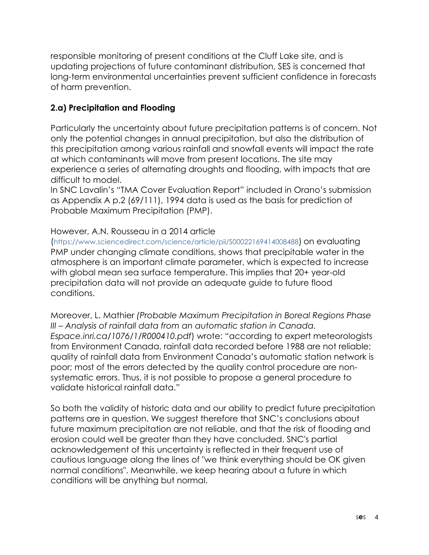responsible monitoring of present conditions at the Cluff Lake site, and is updating projections of future contaminant distribution, SES is concerned that long-term environmental uncertainties prevent sufficient confidence in forecasts of harm prevention.

#### **2.a) Precipitation and Flooding**

Particularly the uncertainty about future precipitation patterns is of concern. Not only the potential changes in annual precipitation, but also the distribution of this precipitation among various rainfall and snowfall events will impact the rate at which contaminants will move from present locations. The site may experience a series of alternating droughts and flooding, with impacts that are difficult to model.

In SNC Lavalin's "TMA Cover Evaluation Report" included in Orano's submission as Appendix A p.2 (69/111), 1994 data is used as the basis for prediction of Probable Maximum Precipitation (PMP).

#### However, A.N. Rousseau in a 2014 article

(https://www.sciencedirect.com/science/article/pii/S00022169414008488) on evaluating PMP under changing climate conditions, shows that precipitable water in the atmosphere is an important climate parameter, which is expected to increase with global mean sea surface temperature. This implies that 20+ year-old precipitation data will not provide an adequate guide to future flood conditions.

Moreover, L. Mathier *(Probable Maximum Precipitation in Boreal Regions Phase III – Analysis of rainfall data from an automatic station in Canada. Espace.inri.ca/1076/1/R000410.pdf*) wrote: "according to expert meteorologists from Environment Canada, rainfall data recorded before 1988 are not reliable; quality of rainfall data from Environment Canada's automatic station network is poor; most of the errors detected by the quality control procedure are nonsystematic errors. Thus, it is not possible to propose a general procedure to validate historical rainfall data."

So both the validity of historic data and our ability to predict future precipitation patterns are in question. We suggest therefore that SNC's conclusions about future maximum precipitation are not reliable, and that the risk of flooding and erosion could well be greater than they have concluded. SNC's partial acknowledgement of this uncertainty is reflected in their frequent use of cautious language along the lines of "we think everything should be OK given normal conditions". Meanwhile, we keep hearing about a future in which conditions will be anything but normal.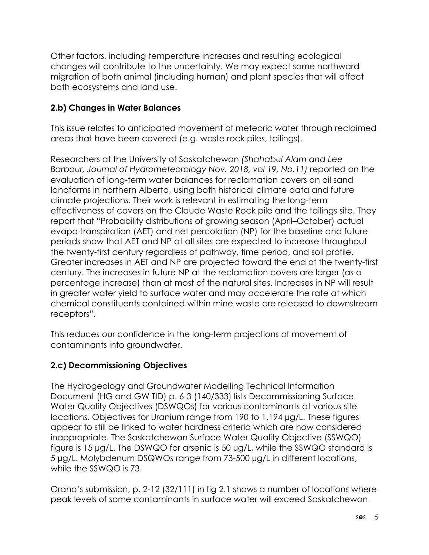Other factors, including temperature increases and resulting ecological changes will contribute to the uncertainty. We may expect some northward migration of both animal (including human) and plant species that will affect both ecosystems and land use.

#### **2.b) Changes in Water Balances**

This issue relates to anticipated movement of meteoric water through reclaimed areas that have been covered (e.g. waste rock piles, tailings).

Researchers at the University of Saskatchewan *(Shahabul Alam and Lee Barbour, Journal of Hydrometeorology Nov. 2018, vol 19, No.11)* reported on the evaluation of long-term water balances for reclamation covers on oil sand landforms in northern Alberta, using both historical climate data and future climate projections. Their work is relevant in estimating the long-term effectiveness of covers on the Claude Waste Rock pile and the tailings site. They report that "Probability distributions of growing season (April–October) actual evapo-transpiration (AET) and net percolation (NP) for the baseline and future periods show that AET and NP at all sites are expected to increase throughout the twenty-first century regardless of pathway, time period, and soil profile. Greater increases in AET and NP are projected toward the end of the twenty-first century. The increases in future NP at the reclamation covers are larger (as a percentage increase) than at most of the natural sites. Increases in NP will result in greater water yield to surface water and may accelerate the rate at which chemical constituents contained within mine waste are released to downstream receptors".

This reduces our confidence in the long-term projections of movement of contaminants into groundwater.

#### **2.c) Decommissioning Objectives**

The Hydrogeology and Groundwater Modelling Technical Information Document (HG and GW TID) p. 6-3 (140/333) lists Decommissioning Surface Water Quality Objectives (DSWQOs) for various contaminants at various site locations. Objectives for Uranium range from 190 to 1,194 µg/L. These figures appear to still be linked to water hardness criteria which are now considered inappropriate. The Saskatchewan Surface Water Quality Objective (SSWQO) figure is 15 µg/L. The DSWQO for arsenic is 50 µg/L, while the SSWQO standard is 5 µg/L. Molybdenum DSQWOs range from 73-500 µg/L in different locations, while the SSWQO is 73.

Orano's submission, p. 2-12 (32/111) in fig 2.1 shows a number of locations where peak levels of some contaminants in surface water will exceed Saskatchewan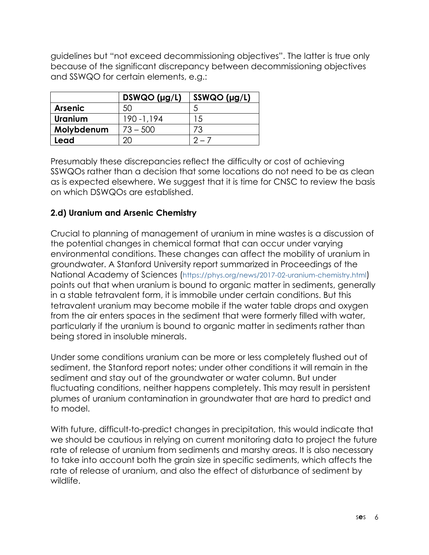guidelines but "not exceed decommissioning objectives". The latter is true only because of the significant discrepancy between decommissioning objectives and SSWQO for certain elements, e.g.:

|                | $DSWQO$ (µg/L) | $SSWQO$ (µg/L) |
|----------------|----------------|----------------|
| <b>Arsenic</b> | 50             |                |
| <b>Uranium</b> | 190 - 1,194    | 15             |
| Molybdenum     | $73 - 500$     | 73             |
| Lead           |                |                |

Presumably these discrepancies reflect the difficulty or cost of achieving SSWQOs rather than a decision that some locations do not need to be as clean as is expected elsewhere. We suggest that it is time for CNSC to review the basis on which DSWQOs are established.

#### **2.d) Uranium and Arsenic Chemistry**

Crucial to planning of management of uranium in mine wastes is a discussion of the potential changes in chemical format that can occur under varying environmental conditions. These changes can affect the mobility of uranium in groundwater. A Stanford University report summarized in Proceedings of the National Academy of Sciences (https://phys.org/news/2017-02-uranium-chemistry.html) points out that when uranium is bound to organic matter in sediments, generally in a stable tetravalent form, it is immobile under certain conditions. But this tetravalent uranium may become mobile if the water table drops and oxygen from the air enters spaces in the sediment that were formerly filled with water, particularly if the uranium is bound to organic matter in sediments rather than being stored in insoluble minerals.

Under some conditions uranium can be more or less completely flushed out of sediment, the Stanford report notes; under other conditions it will remain in the sediment and stay out of the groundwater or water column. But under fluctuating conditions, neither happens completely. This may result in persistent plumes of uranium contamination in groundwater that are hard to predict and to model.

With future, difficult-to-predict changes in precipitation, this would indicate that we should be cautious in relying on current monitoring data to project the future rate of release of uranium from sediments and marshy areas. It is also necessary to take into account both the grain size in specific sediments, which affects the rate of release of uranium, and also the effect of disturbance of sediment by wildlife.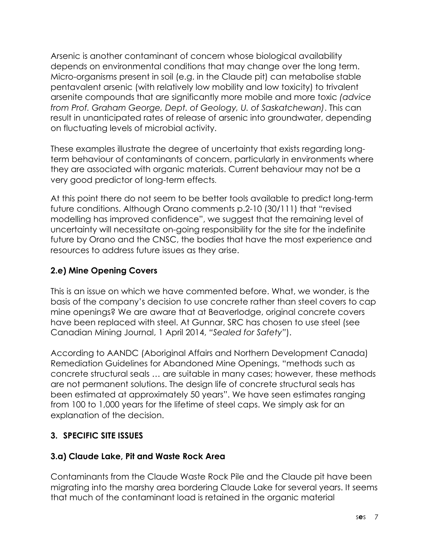Arsenic is another contaminant of concern whose biological availability depends on environmental conditions that may change over the long term. Micro-organisms present in soil (e.g. in the Claude pit) can metabolise stable pentavalent arsenic (with relatively low mobility and low toxicity) to trivalent arsenite compounds that are significantly more mobile and more toxic *(advice from Prof. Graham George, Dept. of Geology, U. of Saskatchewan)*. This can result in unanticipated rates of release of arsenic into groundwater, depending on fluctuating levels of microbial activity.

These examples illustrate the degree of uncertainty that exists regarding longterm behaviour of contaminants of concern, particularly in environments where they are associated with organic materials. Current behaviour may not be a very good predictor of long-term effects.

At this point there do not seem to be better tools available to predict long-term future conditions. Although Orano comments p.2-10 (30/111) that "revised modelling has improved confidence", we suggest that the remaining level of uncertainty will necessitate on-going responsibility for the site for the indefinite future by Orano and the CNSC, the bodies that have the most experience and resources to address future issues as they arise.

# **2.e) Mine Opening Covers**

This is an issue on which we have commented before. What, we wonder, is the basis of the company's decision to use concrete rather than steel covers to cap mine openings? We are aware that at Beaverlodge, original concrete covers have been replaced with steel. At Gunnar, SRC has chosen to use steel (see Canadian Mining Journal, 1 April 2014, *"Sealed for Safety"*).

According to AANDC (Aboriginal Affairs and Northern Development Canada) Remediation Guidelines for Abandoned Mine Openings, "methods such as concrete structural seals … are suitable in many cases; however, these methods are not permanent solutions. The design life of concrete structural seals has been estimated at approximately 50 years". We have seen estimates ranging from 100 to 1,000 years for the lifetime of steel caps. We simply ask for an explanation of the decision.

#### **3. SPECIFIC SITE ISSUES**

#### **3.a) Claude Lake, Pit and Waste Rock Area**

Contaminants from the Claude Waste Rock Pile and the Claude pit have been migrating into the marshy area bordering Claude Lake for several years. It seems that much of the contaminant load is retained in the organic material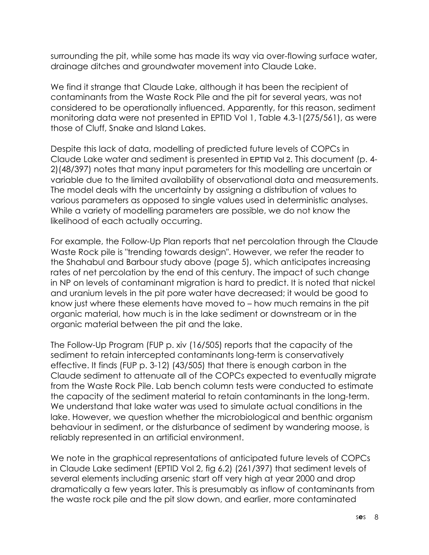surrounding the pit, while some has made its way via over-flowing surface water, drainage ditches and groundwater movement into Claude Lake.

We find it strange that Claude Lake, although it has been the recipient of contaminants from the Waste Rock Pile and the pit for several years, was not considered to be operationally influenced. Apparently, for this reason, sediment monitoring data were not presented in EPTID Vol 1, Table 4.3-1(275/561), as were those of Cluff, Snake and Island Lakes.

Despite this lack of data, modelling of predicted future levels of COPCs in Claude Lake water and sediment is presented in EPTID Vol 2. This document (p. 4- 2)(48/397) notes that many input parameters for this modelling are uncertain or variable due to the limited availability of observational data and measurements. The model deals with the uncertainty by assigning a distribution of values to various parameters as opposed to single values used in deterministic analyses. While a variety of modelling parameters are possible, we do not know the likelihood of each actually occurring.

For example, the Follow-Up Plan reports that net percolation through the Claude Waste Rock pile is "trending towards design". However, we refer the reader to the Shahabul and Barbour study above (page 5), which anticipates increasing rates of net percolation by the end of this century. The impact of such change in NP on levels of contaminant migration is hard to predict. It is noted that nickel and uranium levels in the pit pore water have decreased; it would be good to know just where these elements have moved to – how much remains in the pit organic material, how much is in the lake sediment or downstream or in the organic material between the pit and the lake.

The Follow-Up Program (FUP p. xiv (16/505) reports that the capacity of the sediment to retain intercepted contaminants long-term is conservatively effective. It finds (FUP p. 3-12) (43/505) that there is enough carbon in the Claude sediment to attenuate all of the COPCs expected to eventually migrate from the Waste Rock Pile. Lab bench column tests were conducted to estimate the capacity of the sediment material to retain contaminants in the long-term. We understand that lake water was used to simulate actual conditions in the lake. However, we question whether the microbiological and benthic organism behaviour in sediment, or the disturbance of sediment by wandering moose, is reliably represented in an artificial environment.

We note in the graphical representations of anticipated future levels of COPCs in Claude Lake sediment (EPTID Vol 2, fig 6.2) (261/397) that sediment levels of several elements including arsenic start off very high at year 2000 and drop dramatically a few years later. This is presumably as inflow of contaminants from the waste rock pile and the pit slow down, and earlier, more contaminated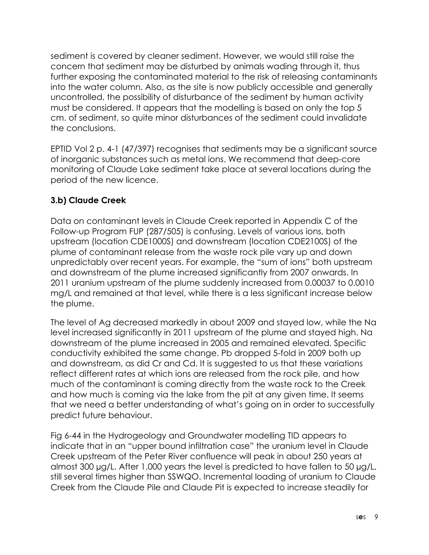sediment is covered by cleaner sediment. However, we would still raise the concern that sediment may be disturbed by animals wading through it, thus further exposing the contaminated material to the risk of releasing contaminants into the water column. Also, as the site is now publicly accessible and generally uncontrolled, the possibility of disturbance of the sediment by human activity must be considered. It appears that the modelling is based on only the top 5 cm. of sediment, so quite minor disturbances of the sediment could invalidate the conclusions.

EPTID Vol 2 p. 4-1 (47/397) recognises that sediments may be a significant source of inorganic substances such as metal ions. We recommend that deep-core monitoring of Claude Lake sediment take place at several locations during the period of the new licence.

# **3.b) Claude Creek**

Data on contaminant levels in Claude Creek reported in Appendix C of the Follow-up Program FUP (287/505) is confusing. Levels of various ions, both upstream (location CDE1000S) and downstream (location CDE2100S) of the plume of contaminant release from the waste rock pile vary up and down unpredictably over recent years. For example, the "sum of ions" both upstream and downstream of the plume increased significantly from 2007 onwards. In 2011 uranium upstream of the plume suddenly increased from 0.00037 to 0.0010 mg/L and remained at that level, while there is a less significant increase below the plume.

The level of Ag decreased markedly in about 2009 and stayed low, while the Na level increased significantly in 2011 upstream of the plume and stayed high. Na downstream of the plume increased in 2005 and remained elevated. Specific conductivity exhibited the same change. Pb dropped 5-fold in 2009 both up and downstream, as did Cr and Cd. It is suggested to us that these variations reflect different rates at which ions are released from the rock pile, and how much of the contaminant is coming directly from the waste rock to the Creek and how much is coming via the lake from the pit at any given time. It seems that we need a better understanding of what's going on in order to successfully predict future behaviour.

Fig 6-44 in the Hydrogeology and Groundwater modelling TID appears to indicate that in an "upper bound infiltration case" the uranium level in Claude Creek upstream of the Peter River confluence will peak in about 250 years at almost 300 µg/L. After 1,000 years the level is predicted to have fallen to 50 µg/L, still several times higher than SSWQO. Incremental loading of uranium to Claude Creek from the Claude Pile and Claude Pit is expected to increase steadily for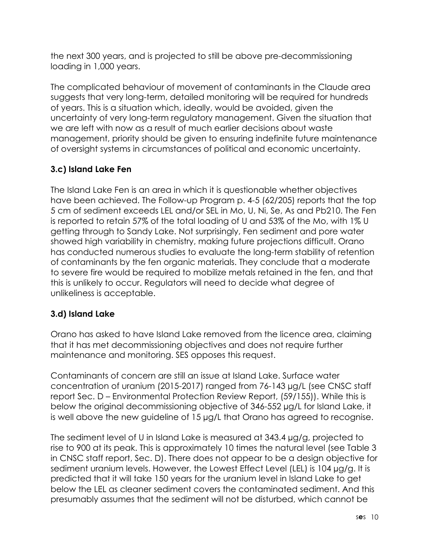the next 300 years, and is projected to still be above pre-decommissioning loading in 1,000 years.

The complicated behaviour of movement of contaminants in the Claude area suggests that very long-term, detailed monitoring will be required for hundreds of years. This is a situation which, ideally, would be avoided, given the uncertainty of very long-term regulatory management. Given the situation that we are left with now as a result of much earlier decisions about waste management, priority should be given to ensuring indefinite future maintenance of oversight systems in circumstances of political and economic uncertainty.

# **3.c) Island Lake Fen**

The Island Lake Fen is an area in which it is questionable whether objectives have been achieved. The Follow-up Program p. 4-5 (62/205) reports that the top 5 cm of sediment exceeds LEL and/or SEL in Mo, U, Ni, Se, As and Pb210. The Fen is reported to retain 57% of the total loading of U and 53% of the Mo, with 1% U getting through to Sandy Lake. Not surprisingly, Fen sediment and pore water showed high variability in chemistry, making future projections difficult. Orano has conducted numerous studies to evaluate the long-term stability of retention of contaminants by the fen organic materials. They conclude that a moderate to severe fire would be required to mobilize metals retained in the fen, and that this is unlikely to occur. Regulators will need to decide what degree of unlikeliness is acceptable.

# **3.d) Island Lake**

Orano has asked to have Island Lake removed from the licence area, claiming that it has met decommissioning objectives and does not require further maintenance and monitoring. SES opposes this request.

Contaminants of concern are still an issue at Island Lake. Surface water concentration of uranium (2015-2017) ranged from 76-143 µg/L (see CNSC staff report Sec. D – Environmental Protection Review Report, (59/155)). While this is below the original decommissioning objective of 346-552 µg/L for Island Lake, it is well above the new guideline of 15 µg/L that Orano has agreed to recognise.

The sediment level of U in Island Lake is measured at 343.4 µg/g, projected to rise to 900 at its peak. This is approximately 10 times the natural level (see Table 3 in CNSC staff report, Sec. D). There does not appear to be a design objective for sediment uranium levels. However, the Lowest Effect Level (LEL) is 104 µg/g. It is predicted that it will take 150 years for the uranium level in Island Lake to get below the LEL as cleaner sediment covers the contaminated sediment. And this presumably assumes that the sediment will not be disturbed, which cannot be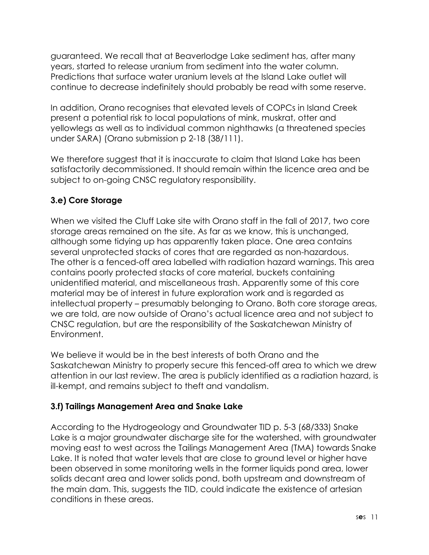guaranteed. We recall that at Beaverlodge Lake sediment has, after many years, started to release uranium from sediment into the water column. Predictions that surface water uranium levels at the Island Lake outlet will continue to decrease indefinitely should probably be read with some reserve.

In addition, Orano recognises that elevated levels of COPCs in Island Creek present a potential risk to local populations of mink, muskrat, otter and yellowlegs as well as to individual common nighthawks (a threatened species under SARA) (Orano submission p 2-18 (38/111).

We therefore suggest that it is inaccurate to claim that Island Lake has been satisfactorily decommissioned. It should remain within the licence area and be subject to on-going CNSC regulatory responsibility.

# **3.e) Core Storage**

When we visited the Cluff Lake site with Orano staff in the fall of 2017, two core storage areas remained on the site. As far as we know, this is unchanged, although some tidying up has apparently taken place. One area contains several unprotected stacks of cores that are regarded as non-hazardous. The other is a fenced-off area labelled with radiation hazard warnings. This area contains poorly protected stacks of core material, buckets containing unidentified material, and miscellaneous trash. Apparently some of this core material may be of interest in future exploration work and is regarded as intellectual property – presumably belonging to Orano. Both core storage areas, we are told, are now outside of Orano's actual licence area and not subject to CNSC regulation, but are the responsibility of the Saskatchewan Ministry of Environment.

We believe it would be in the best interests of both Orano and the Saskatchewan Ministry to properly secure this fenced-off area to which we drew attention in our last review. The area is publicly identified as a radiation hazard, is ill-kempt, and remains subject to theft and vandalism.

#### **3.f) Tailings Management Area and Snake Lake**

According to the Hydrogeology and Groundwater TID p. 5-3 (68/333) Snake Lake is a major groundwater discharge site for the watershed, with groundwater moving east to west across the Tailings Management Area (TMA) towards Snake Lake. It is noted that water levels that are close to ground level or higher have been observed in some monitoring wells in the former liquids pond area, lower solids decant area and lower solids pond, both upstream and downstream of the main dam. This, suggests the TID, could indicate the existence of artesian conditions in these areas.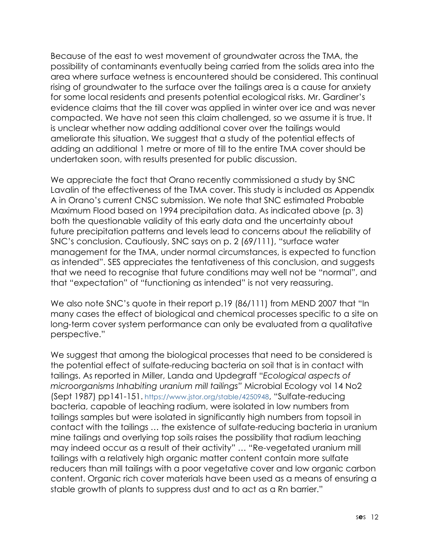Because of the east to west movement of groundwater across the TMA, the possibility of contaminants eventually being carried from the solids area into the area where surface wetness is encountered should be considered. This continual rising of groundwater to the surface over the tailings area is a cause for anxiety for some local residents and presents potential ecological risks. Mr. Gardiner's evidence claims that the till cover was applied in winter over ice and was never compacted. We have not seen this claim challenged, so we assume it is true. It is unclear whether now adding additional cover over the tailings would ameliorate this situation. We suggest that a study of the potential effects of adding an additional 1 metre or more of till to the entire TMA cover should be undertaken soon, with results presented for public discussion.

We appreciate the fact that Orano recently commissioned a study by SNC Lavalin of the effectiveness of the TMA cover. This study is included as Appendix A in Orano's current CNSC submission. We note that SNC estimated Probable Maximum Flood based on 1994 precipitation data. As indicated above (p. 3) both the questionable validity of this early data and the uncertainty about future precipitation patterns and levels lead to concerns about the reliability of SNC's conclusion. Cautiously, SNC says on p. 2 (69/111), "surface water management for the TMA, under normal circumstances, is expected to function as intended". SES appreciates the tentativeness of this conclusion, and suggests that we need to recognise that future conditions may well not be "normal", and that "expectation" of "functioning as intended" is not very reassuring.

We also note SNC's quote in their report p.19 (86/111) from MEND 2007 that "In many cases the effect of biological and chemical processes specific to a site on long-term cover system performance can only be evaluated from a qualitative perspective."

We suggest that among the biological processes that need to be considered is the potential effect of sulfate-reducing bacteria on soil that is in contact with tailings. As reported in Miller, Landa and Updegraff "*Ecological aspects of microorganisms Inhabiting uranium mill tailings"* Microbial Ecology vol 14 No2 (Sept 1987) pp141-151. https://www.jstor.org/stable/4250948, "Sulfate-reducing bacteria, capable of leaching radium, were isolated in low numbers from tailings samples but were isolated in significantly high numbers from topsoil in contact with the tailings … the existence of sulfate-reducing bacteria in uranium mine tailings and overlying top soils raises the possibility that radium leaching may indeed occur as a result of their activity" … "Re-vegetated uranium mill tailings with a relatively high organic matter content contain more sulfate reducers than mill tailings with a poor vegetative cover and low organic carbon content. Organic rich cover materials have been used as a means of ensuring a stable growth of plants to suppress dust and to act as a Rn barrier."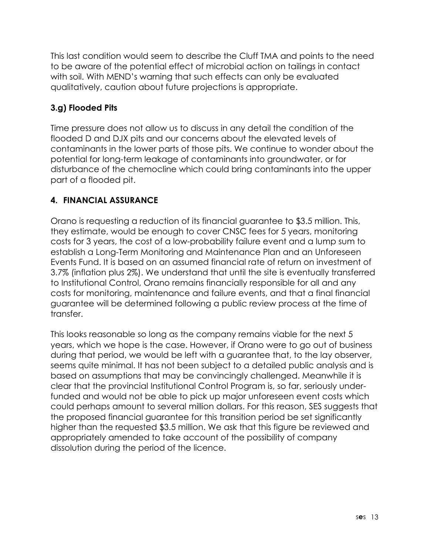This last condition would seem to describe the Cluff TMA and points to the need to be aware of the potential effect of microbial action on tailings in contact with soil. With MEND's warning that such effects can only be evaluated qualitatively, caution about future projections is appropriate.

# **3.g) Flooded Pits**

Time pressure does not allow us to discuss in any detail the condition of the flooded D and DJX pits and our concerns about the elevated levels of contaminants in the lower parts of those pits. We continue to wonder about the potential for long-term leakage of contaminants into groundwater, or for disturbance of the chemocline which could bring contaminants into the upper part of a flooded pit.

# **4. FINANCIAL ASSURANCE**

Orano is requesting a reduction of its financial guarantee to \$3.5 million. This, they estimate, would be enough to cover CNSC fees for 5 years, monitoring costs for 3 years, the cost of a low-probability failure event and a lump sum to establish a Long-Term Monitoring and Maintenance Plan and an Unforeseen Events Fund. It is based on an assumed financial rate of return on investment of 3.7% (inflation plus 2%). We understand that until the site is eventually transferred to Institutional Control, Orano remains financially responsible for all and any costs for monitoring, maintenance and failure events, and that a final financial guarantee will be determined following a public review process at the time of transfer.

This looks reasonable so long as the company remains viable for the next 5 years, which we hope is the case. However, if Orano were to go out of business during that period, we would be left with a guarantee that, to the lay observer, seems quite minimal. It has not been subject to a detailed public analysis and is based on assumptions that may be convincingly challenged. Meanwhile it is clear that the provincial Institutional Control Program is, so far, seriously underfunded and would not be able to pick up major unforeseen event costs which could perhaps amount to several million dollars. For this reason, SES suggests that the proposed financial guarantee for this transition period be set significantly higher than the requested \$3.5 million. We ask that this figure be reviewed and appropriately amended to take account of the possibility of company dissolution during the period of the licence.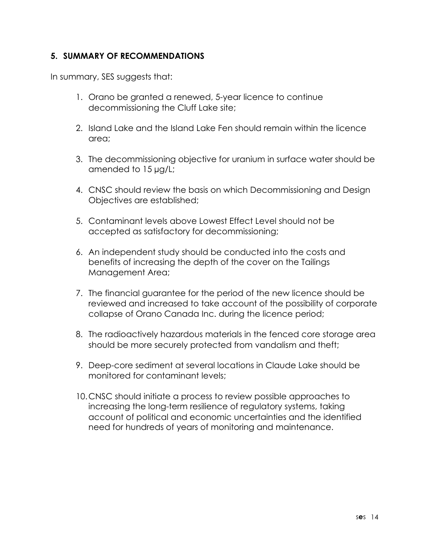#### **5. SUMMARY OF RECOMMENDATIONS**

In summary, SES suggests that:

- 1. Orano be granted a renewed, 5-year licence to continue decommissioning the Cluff Lake site;
- 2. Island Lake and the Island Lake Fen should remain within the licence area;
- 3. The decommissioning objective for uranium in surface water should be amended to 15 µg/L;
- 4. CNSC should review the basis on which Decommissioning and Design Objectives are established;
- 5. Contaminant levels above Lowest Effect Level should not be accepted as satisfactory for decommissioning;
- 6. An independent study should be conducted into the costs and benefits of increasing the depth of the cover on the Tailings Management Area;
- 7. The financial guarantee for the period of the new licence should be reviewed and increased to take account of the possibility of corporate collapse of Orano Canada Inc. during the licence period;
- 8. The radioactively hazardous materials in the fenced core storage area should be more securely protected from vandalism and theft;
- 9. Deep-core sediment at several locations in Claude Lake should be monitored for contaminant levels;
- 10.CNSC should initiate a process to review possible approaches to increasing the long-term resilience of regulatory systems, taking account of political and economic uncertainties and the identified need for hundreds of years of monitoring and maintenance.